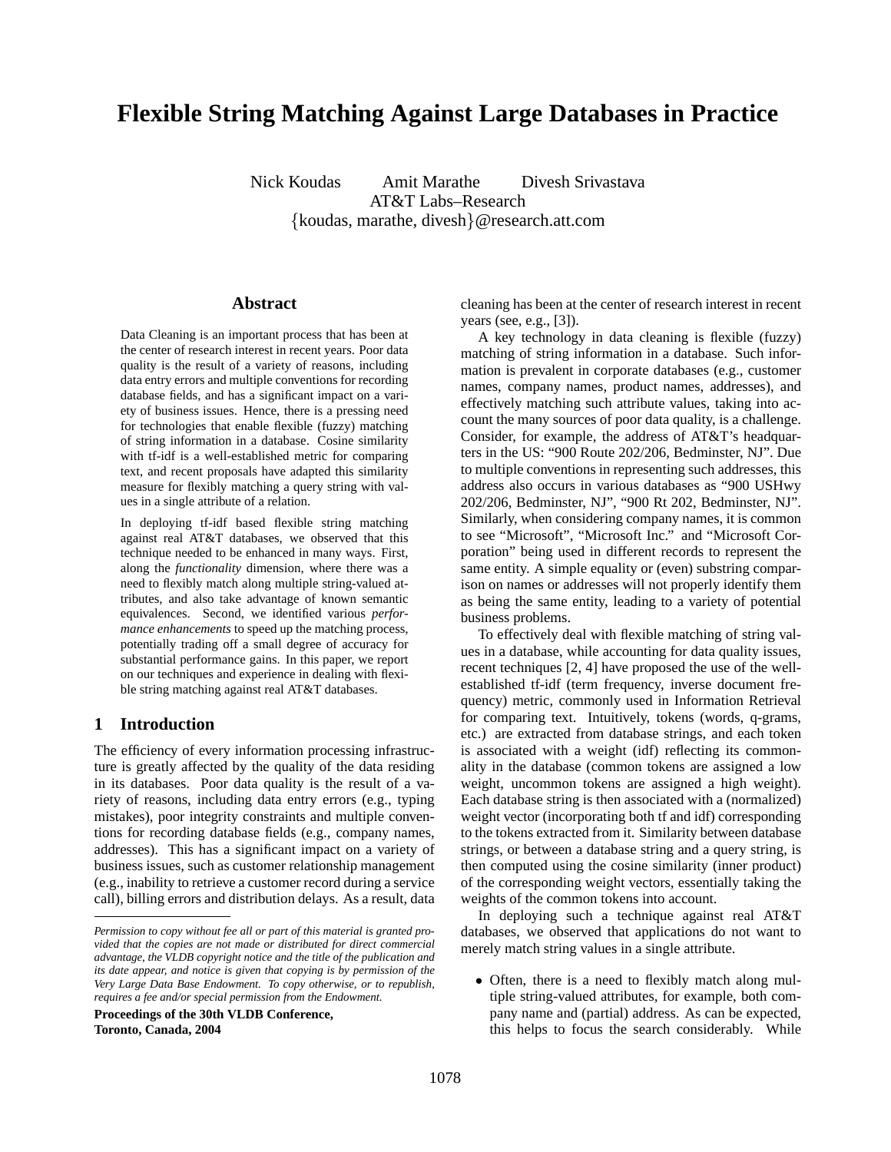# **Flexible String Matching Against Large Databases in Practice**

Nick Koudas Amit Marathe Divesh Srivastava AT&T Labs–Research {koudas, marathe, divesh}@research.att.com

## **Abstract**

Data Cleaning is an important process that has been at the center of research interest in recent years. Poor data quality is the result of a variety of reasons, including data entry errors and multiple conventions for recording database fields, and has a significant impact on a variety of business issues. Hence, there is a pressing need for technologies that enable flexible (fuzzy) matching of string information in a database. Cosine similarity with tf-idf is a well-established metric for comparing text, and recent proposals have adapted this similarity measure for flexibly matching a query string with values in a single attribute of a relation.

In deploying tf-idf based flexible string matching against real AT&T databases, we observed that this technique needed to be enhanced in many ways. First, along the *functionality* dimension, where there was a need to flexibly match along multiple string-valued attributes, and also take advantage of known semantic equivalences. Second, we identified various *performance enhancements* to speed up the matching process, potentially trading off a small degree of accuracy for substantial performance gains. In this paper, we report on our techniques and experience in dealing with flexible string matching against real AT&T databases.

# **1 Introduction**

The efficiency of every information processing infrastructure is greatly affected by the quality of the data residing in its databases. Poor data quality is the result of a variety of reasons, including data entry errors (e.g., typing mistakes), poor integrity constraints and multiple conventions for recording database fields (e.g., company names, addresses). This has a significant impact on a variety of business issues, such as customer relationship management (e.g., inability to retrieve a customer record during a service call), billing errors and distribution delays. As a result, data

**Proceedings of the 30th VLDB Conference, Toronto, Canada, 2004**

cleaning has been at the center of research interest in recent years (see, e.g., [3]).

A key technology in data cleaning is flexible (fuzzy) matching of string information in a database. Such information is prevalent in corporate databases (e.g., customer names, company names, product names, addresses), and effectively matching such attribute values, taking into account the many sources of poor data quality, is a challenge. Consider, for example, the address of AT&T's headquarters in the US: "900 Route 202/206, Bedminster, NJ". Due to multiple conventions in representing such addresses, this address also occurs in various databases as "900 USHwy 202/206, Bedminster, NJ", "900 Rt 202, Bedminster, NJ". Similarly, when considering company names, it is common to see "Microsoft", "Microsoft Inc." and "Microsoft Corporation" being used in different records to represent the same entity. A simple equality or (even) substring comparison on names or addresses will not properly identify them as being the same entity, leading to a variety of potential business problems.

To effectively deal with flexible matching of string values in a database, while accounting for data quality issues, recent techniques [2, 4] have proposed the use of the wellestablished tf-idf (term frequency, inverse document frequency) metric, commonly used in Information Retrieval for comparing text. Intuitively, tokens (words, q-grams, etc.) are extracted from database strings, and each token is associated with a weight (idf) reflecting its commonality in the database (common tokens are assigned a low weight, uncommon tokens are assigned a high weight). Each database string is then associated with a (normalized) weight vector (incorporating both tf and idf) corresponding to the tokens extracted from it. Similarity between database strings, or between a database string and a query string, is then computed using the cosine similarity (inner product) of the corresponding weight vectors, essentially taking the weights of the common tokens into account.

In deploying such a technique against real AT&T databases, we observed that applications do not want to merely match string values in a single attribute.

• Often, there is a need to flexibly match along multiple string-valued attributes, for example, both company name and (partial) address. As can be expected, this helps to focus the search considerably. While

*Permission to copy without fee all or part of this material is granted provided that the copies are not made or distributed for direct commercial advantage, the VLDB copyright notice and the title of the publication and its date appear, and notice is given that copying is by permission of the Very Large Data Base Endowment. To copy otherwise, or to republish, requires a fee and/or special permission from the Endowment.*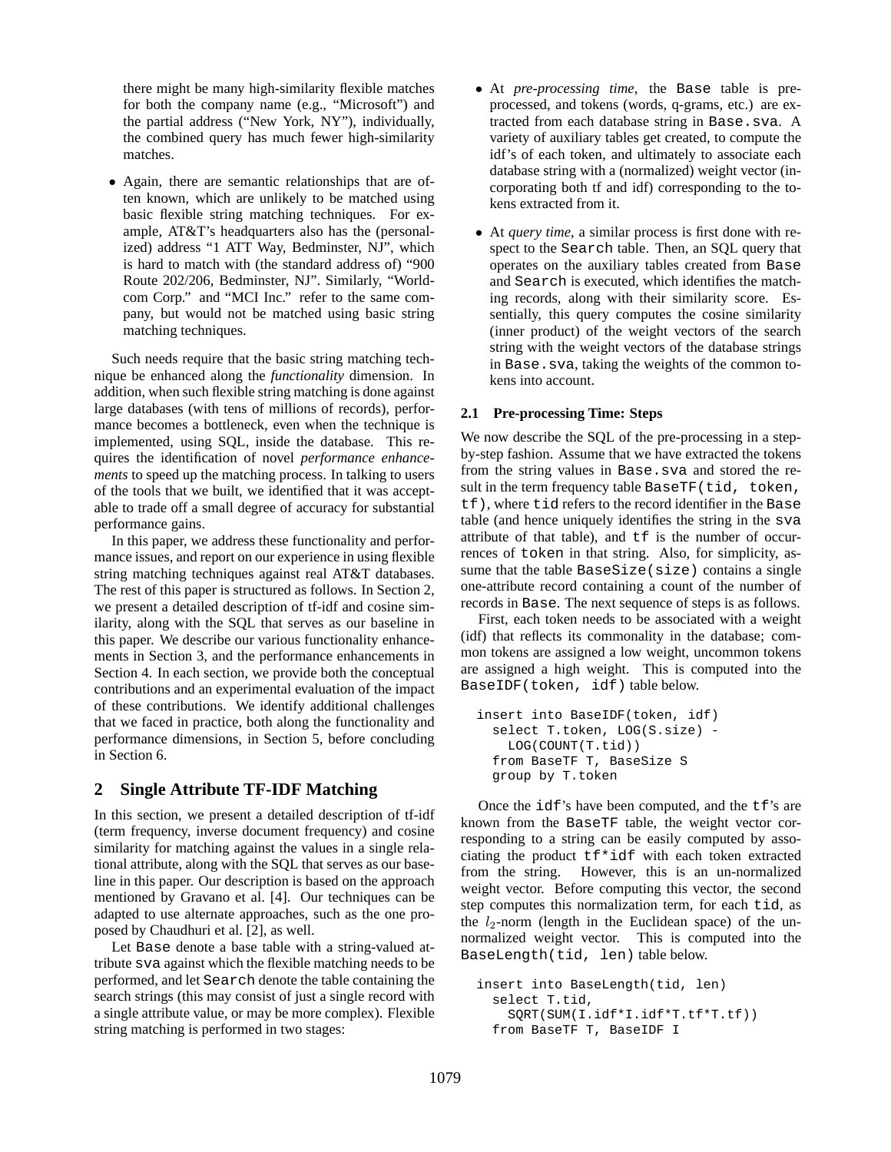there might be many high-similarity flexible matches for both the company name (e.g., "Microsoft") and the partial address ("New York, NY"), individually, the combined query has much fewer high-similarity matches.

• Again, there are semantic relationships that are often known, which are unlikely to be matched using basic flexible string matching techniques. For example, AT&T's headquarters also has the (personalized) address "1 ATT Way, Bedminster, NJ", which is hard to match with (the standard address of) "900 Route 202/206, Bedminster, NJ". Similarly, "Worldcom Corp." and "MCI Inc." refer to the same company, but would not be matched using basic string matching techniques.

Such needs require that the basic string matching technique be enhanced along the *functionality* dimension. In addition, when such flexible string matching is done against large databases (with tens of millions of records), performance becomes a bottleneck, even when the technique is implemented, using SQL, inside the database. This requires the identification of novel *performance enhancements* to speed up the matching process. In talking to users of the tools that we built, we identified that it was acceptable to trade off a small degree of accuracy for substantial performance gains.

In this paper, we address these functionality and performance issues, and report on our experience in using flexible string matching techniques against real AT&T databases. The rest of this paper is structured as follows. In Section 2, we present a detailed description of tf-idf and cosine similarity, along with the SQL that serves as our baseline in this paper. We describe our various functionality enhancements in Section 3, and the performance enhancements in Section 4. In each section, we provide both the conceptual contributions and an experimental evaluation of the impact of these contributions. We identify additional challenges that we faced in practice, both along the functionality and performance dimensions, in Section 5, before concluding in Section 6.

# **2 Single Attribute TF-IDF Matching**

In this section, we present a detailed description of tf-idf (term frequency, inverse document frequency) and cosine similarity for matching against the values in a single relational attribute, along with the SQL that serves as our baseline in this paper. Our description is based on the approach mentioned by Gravano et al. [4]. Our techniques can be adapted to use alternate approaches, such as the one proposed by Chaudhuri et al. [2], as well.

Let Base denote a base table with a string-valued attribute sva against which the flexible matching needs to be performed, and let Search denote the table containing the search strings (this may consist of just a single record with a single attribute value, or may be more complex). Flexible string matching is performed in two stages:

- At *pre-processing time*, the Base table is preprocessed, and tokens (words, q-grams, etc.) are extracted from each database string in Base.sva. A variety of auxiliary tables get created, to compute the idf's of each token, and ultimately to associate each database string with a (normalized) weight vector (incorporating both tf and idf) corresponding to the tokens extracted from it.
- At *query time*, a similar process is first done with respect to the Search table. Then, an SQL query that operates on the auxiliary tables created from Base and Search is executed, which identifies the matching records, along with their similarity score. Essentially, this query computes the cosine similarity (inner product) of the weight vectors of the search string with the weight vectors of the database strings in Base.sva, taking the weights of the common tokens into account.

## **2.1 Pre-processing Time: Steps**

We now describe the SQL of the pre-processing in a stepby-step fashion. Assume that we have extracted the tokens from the string values in Base.sva and stored the result in the term frequency table  $BaseTF(tid, token,$ tf), where tid refers to the record identifier in the Base table (and hence uniquely identifies the string in the sva attribute of that table), and tf is the number of occurrences of token in that string. Also, for simplicity, assume that the table BaseSize(size) contains a single one-attribute record containing a count of the number of records in Base. The next sequence of steps is as follows.

First, each token needs to be associated with a weight (idf) that reflects its commonality in the database; common tokens are assigned a low weight, uncommon tokens are assigned a high weight. This is computed into the BaseIDF(token, idf) table below.

```
insert into BaseIDF(token, idf)
  select T.token, LOG(S.size) -
   LOG(COUNT(T.tid))
  from BaseTF T, BaseSize S
  group by T.token
```
Once the idf's have been computed, and the tf's are known from the BaseTF table, the weight vector corresponding to a string can be easily computed by associating the product tf\*idf with each token extracted from the string. However, this is an un-normalized weight vector. Before computing this vector, the second step computes this normalization term, for each tid, as the  $l_2$ -norm (length in the Euclidean space) of the unnormalized weight vector. This is computed into the BaseLength(tid, len) table below.

```
insert into BaseLength(tid, len)
  select T.tid,
    SQRT(SUM(I.idf*I.idf*T.tf*T.tf))
  from BaseTF T, BaseIDF I
```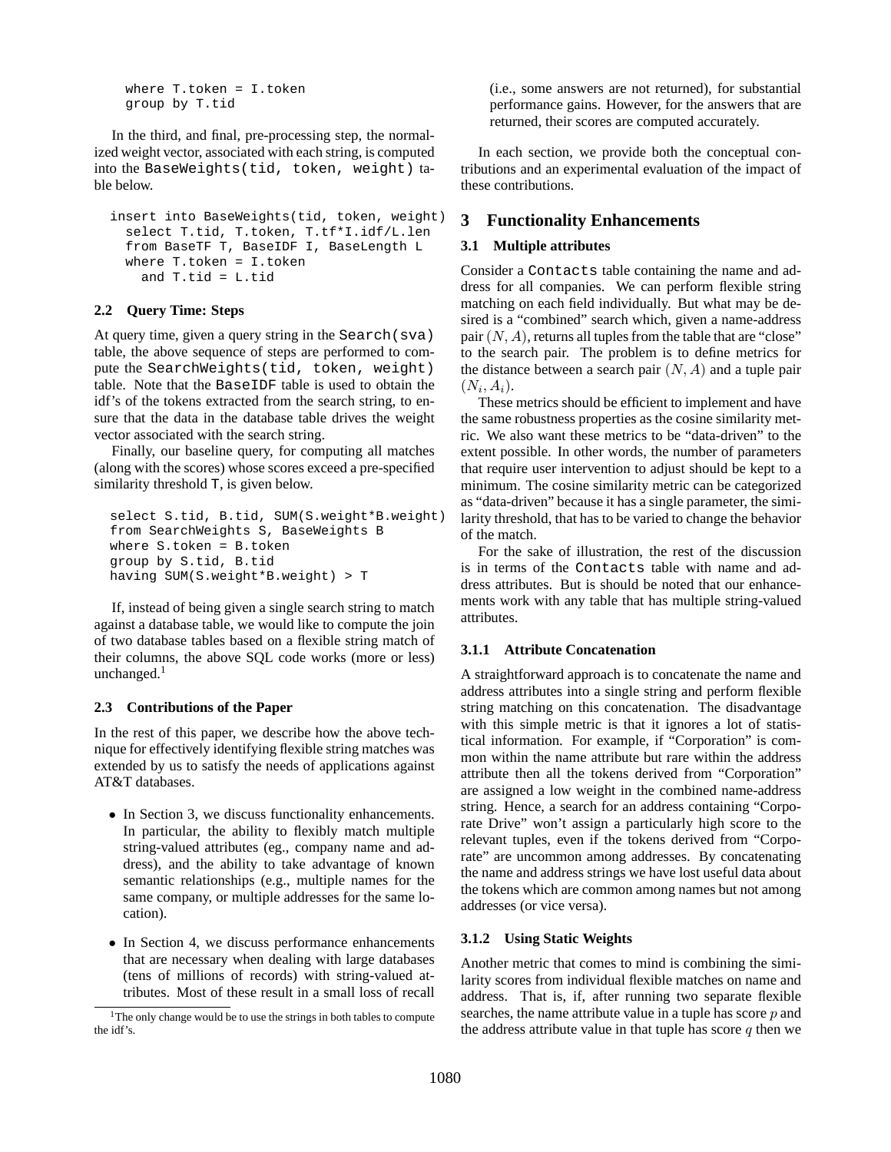where T.token = I.token group by T.tid

In the third, and final, pre-processing step, the normalized weight vector, associated with each string, is computed into the BaseWeights(tid, token, weight) table below.

```
insert into BaseWeights(tid, token, weight)
 select T.tid, T.token, T.tf*I.idf/L.len
  from BaseTF T, BaseIDF I, BaseLength L
 where T.token = I.token
   and T.tid = L.tid
```
## **2.2 Query Time: Steps**

At query time, given a query string in the Search(sva) table, the above sequence of steps are performed to compute the SearchWeights(tid, token, weight) table. Note that the BaseIDF table is used to obtain the idf's of the tokens extracted from the search string, to ensure that the data in the database table drives the weight vector associated with the search string.

Finally, our baseline query, for computing all matches (along with the scores) whose scores exceed a pre-specified similarity threshold T, is given below.

```
select S.tid, B.tid, SUM(S.weight*B.weight)
from SearchWeights S, BaseWeights B
where S.token = B.token
group by S.tid, B.tid
having SUM(S.weight*B.weight) > T
```
If, instead of being given a single search string to match against a database table, we would like to compute the join of two database tables based on a flexible string match of their columns, the above SQL code works (more or less) unchanged. $1$ 

#### **2.3 Contributions of the Paper**

In the rest of this paper, we describe how the above technique for effectively identifying flexible string matches was extended by us to satisfy the needs of applications against AT&T databases.

- In Section 3, we discuss functionality enhancements. In particular, the ability to flexibly match multiple string-valued attributes (eg., company name and address), and the ability to take advantage of known semantic relationships (e.g., multiple names for the same company, or multiple addresses for the same location).
- In Section 4, we discuss performance enhancements that are necessary when dealing with large databases (tens of millions of records) with string-valued attributes. Most of these result in a small loss of recall

(i.e., some answers are not returned), for substantial performance gains. However, for the answers that are returned, their scores are computed accurately.

In each section, we provide both the conceptual contributions and an experimental evaluation of the impact of these contributions.

# **3 Functionality Enhancements**

## **3.1 Multiple attributes**

Consider a Contacts table containing the name and address for all companies. We can perform flexible string matching on each field individually. But what may be desired is a "combined" search which, given a name-address pair  $(N, A)$ , returns all tuples from the table that are "close" to the search pair. The problem is to define metrics for the distance between a search pair  $(N, A)$  and a tuple pair  $(N_i, A_i)$ .

These metrics should be efficient to implement and have the same robustness properties as the cosine similarity metric. We also want these metrics to be "data-driven" to the extent possible. In other words, the number of parameters that require user intervention to adjust should be kept to a minimum. The cosine similarity metric can be categorized as "data-driven" because it has a single parameter, the similarity threshold, that has to be varied to change the behavior of the match.

For the sake of illustration, the rest of the discussion is in terms of the Contacts table with name and address attributes. But is should be noted that our enhancements work with any table that has multiple string-valued attributes.

## **3.1.1 Attribute Concatenation**

A straightforward approach is to concatenate the name and address attributes into a single string and perform flexible string matching on this concatenation. The disadvantage with this simple metric is that it ignores a lot of statistical information. For example, if "Corporation" is common within the name attribute but rare within the address attribute then all the tokens derived from "Corporation" are assigned a low weight in the combined name-address string. Hence, a search for an address containing "Corporate Drive" won't assign a particularly high score to the relevant tuples, even if the tokens derived from "Corporate" are uncommon among addresses. By concatenating the name and address strings we have lost useful data about the tokens which are common among names but not among addresses (or vice versa).

#### **3.1.2 Using Static Weights**

Another metric that comes to mind is combining the similarity scores from individual flexible matches on name and address. That is, if, after running two separate flexible searches, the name attribute value in a tuple has score p and the address attribute value in that tuple has score  $q$  then we

<sup>&</sup>lt;sup>1</sup>The only change would be to use the strings in both tables to compute the idf's.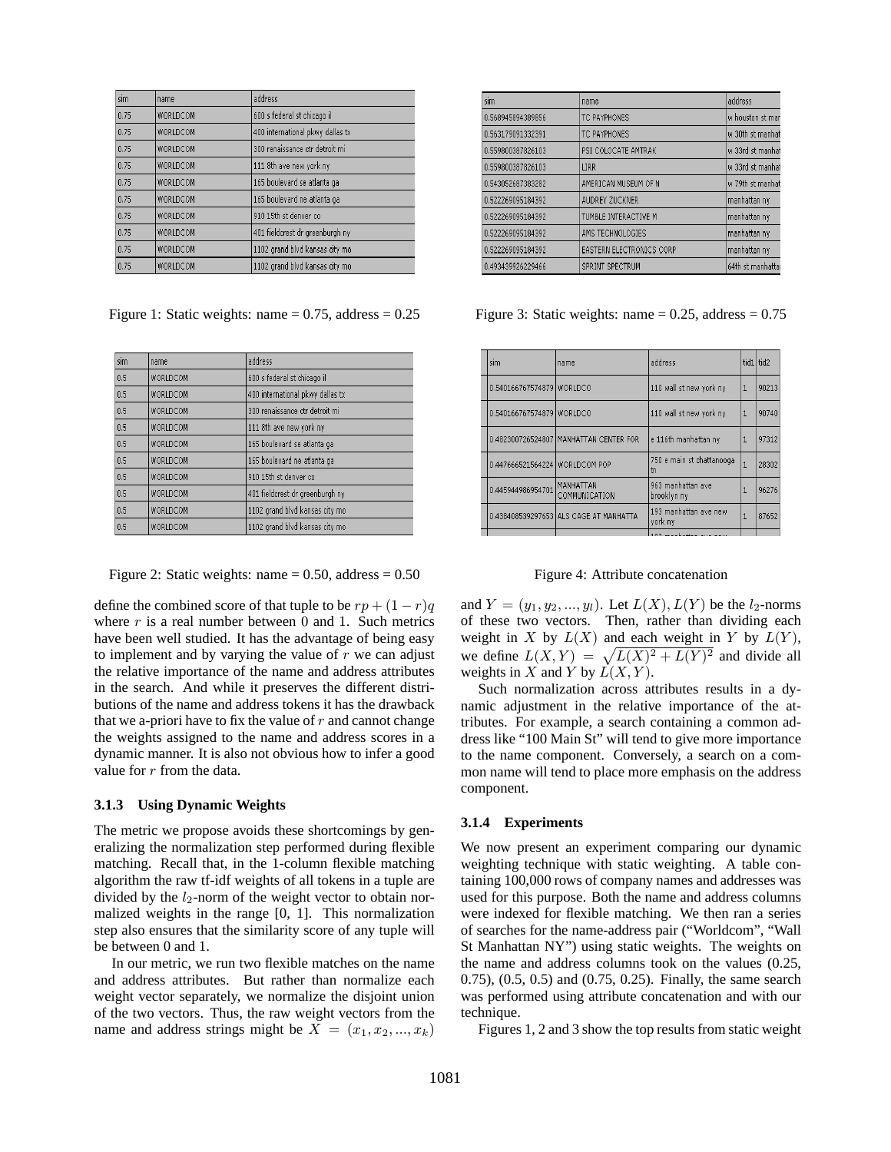| sim  | name     | address                          |  |
|------|----------|----------------------------------|--|
| 0.75 | WORLDCOM | 600 s federal st chicago il      |  |
| 0.75 | WORLDCOM | 400 international pkwy dallas tx |  |
| 0.75 | WORLDCOM | 300 renaissance ctr detroit mi   |  |
| 0.75 | WORLDCOM | 111 8th ave new york ny          |  |
| 0.75 | WORLDCOM | 165 boulevard se atlanta ga      |  |
| 0.75 | WORLDCOM | 165 boulevard ne atlanta ga      |  |
| 0.75 | WORLDCOM | 910 15th st denver co            |  |
| 0.75 | WORLDCOM | 401 fieldcrest dr greenburgh ny  |  |
| 0.75 | WORLDCOM | 1102 grand blvd kansas city mo   |  |
| 0.75 | WORLDCOM | 1102 grand blvd kansas city mo   |  |

Figure 1: Static weights: name  $= 0.75$ , address  $= 0.25$ 

| sim | name     | address                          |  |
|-----|----------|----------------------------------|--|
| 0.5 | WORLDCOM | 600 s federal st chicago il      |  |
| 0.5 | WORLDCOM | 400 international pkwy dallas tx |  |
| 0.5 | WORLDCOM | 300 renaissance ctr detroit mi   |  |
| 0.5 | WORLDCOM | 111 8th ave new york ny          |  |
| 0.5 | WORLDCOM | 165 boulevard se atlanta ga      |  |
| 0.5 | WORLDCOM | 165 boulevard ne atlanta ga      |  |
| 0.5 | WORLDCOM | 910 15th st denver co            |  |
| 0.5 | WORLDCOM | 401 fieldcrest dr greenburgh ny  |  |
| 0.5 | WORLDCOM | 1102 grand blvd kansas city mo   |  |
| 0.5 | WORLDCOM | 1102 grand blvd kansas city mo   |  |

Figure 2: Static weights: name  $= 0.50$ , address  $= 0.50$ 

define the combined score of that tuple to be  $rp + (1 - r)q$ where  $r$  is a real number between 0 and 1. Such metrics have been well studied. It has the advantage of being easy to implement and by varying the value of  $r$  we can adjust the relative importance of the name and address attributes in the search. And while it preserves the different distributions of the name and address tokens it has the drawback that we a-priori have to fix the value of  $r$  and cannot change the weights assigned to the name and address scores in a dynamic manner. It is also not obvious how to infer a good value for  $r$  from the data.

### **3.1.3 Using Dynamic Weights**

The metric we propose avoids these shortcomings by generalizing the normalization step performed during flexible matching. Recall that, in the 1-column flexible matching algorithm the raw tf-idf weights of all tokens in a tuple are divided by the  $l_2$ -norm of the weight vector to obtain normalized weights in the range [0, 1]. This normalization step also ensures that the similarity score of any tuple will be between 0 and 1.

In our metric, we run two flexible matches on the name and address attributes. But rather than normalize each weight vector separately, we normalize the disjoint union of the two vectors. Thus, the raw weight vectors from the name and address strings might be  $X = (x_1, x_2, ..., x_k)$ 

| sim               | name                            | address          |
|-------------------|---------------------------------|------------------|
| 0.568945894389856 | <b>TC PAYPHONES</b>             | w houston st mar |
| 0.563179091332391 | <b>TC PAYPHONES</b>             | w 30th st manhat |
| 0.559800387826103 | PSI COLOCATE AMTRAK             | w 33rd st manhai |
| 0.559800387826103 | LIRR                            | w 33rd st manhai |
| 0.543052687383282 | AMERICAN MUSEUM OF N            | w 79th st manhat |
| 0.522269095184392 | <b>AUDREY ZUCKNER</b>           | manhattan ny     |
| 0.522269095184392 | TUMBLE INTERACTIVE M            | manhattan ny     |
| 0.522269095184392 | AMS TECHNOLOGIES                | manhattan ny     |
| 0.522269095184392 | <b>EASTERN ELECTRONICS CORP</b> | manhattan ny     |
| 0.493439926229466 | SPRINT SPECTRUM                 | 64th st manhatta |
|                   |                                 |                  |

Figure 3: Static weights: name =  $0.25$ , address =  $0.75$ 

| sim               | name                                   | address                          |              | tid1 tid2 |
|-------------------|----------------------------------------|----------------------------------|--------------|-----------|
| 0.540166767574879 | WORLDCO                                | 110 wall st new york ny          | 1            | 90213     |
| 0.540166767574879 | WORLDCO                                | 110 wall st new york ny          | 1            | 90740     |
|                   | 0.482300726524807 MANHATTAN CENTER FOR | e 116th manhattan ny             | $\mathbf{1}$ | 97312     |
| 0.447666521564224 | WORLDCOM POP                           | 750 e main st chattanooga<br>tn  | $\mathbf{1}$ | 28302     |
| 0.445944986954701 | MANHATTAN<br>COMMUNICATION             | 963 manhattan ave<br>brooklyn ny | $\mathbf{1}$ | 96276     |
|                   | 0.438408539297653 ALS CAGE AT MANHATTA | 193 manhattan ave new<br>vork nv | $\mathbf{1}$ | 87652     |
|                   |                                        | ann an chleanain ann             |              |           |

Figure 4: Attribute concatenation

and  $Y = (y_1, y_2, ..., y_l)$ . Let  $L(X)$ ,  $L(Y)$  be the  $l_2$ -norms of these two vectors. Then, rather than dividing each weight in X by  $L(X)$  and each weight in Y by  $L(Y)$ , weight in X by  $L(X)$  and each weight in Y by  $L(Y)$ ,<br>we define  $L(X,Y) = \sqrt{L(X)^2 + L(Y)^2}$  and divide all weights in X and Y by  $\dot{L}(X, Y)$ .

Such normalization across attributes results in a dynamic adjustment in the relative importance of the attributes. For example, a search containing a common address like "100 Main St" will tend to give more importance to the name component. Conversely, a search on a common name will tend to place more emphasis on the address component.

## **3.1.4 Experiments**

We now present an experiment comparing our dynamic weighting technique with static weighting. A table containing 100,000 rows of company names and addresses was used for this purpose. Both the name and address columns were indexed for flexible matching. We then ran a series of searches for the name-address pair ("Worldcom", "Wall St Manhattan NY") using static weights. The weights on the name and address columns took on the values (0.25, 0.75), (0.5, 0.5) and (0.75, 0.25). Finally, the same search was performed using attribute concatenation and with our technique.

Figures 1, 2 and 3 show the top results from static weight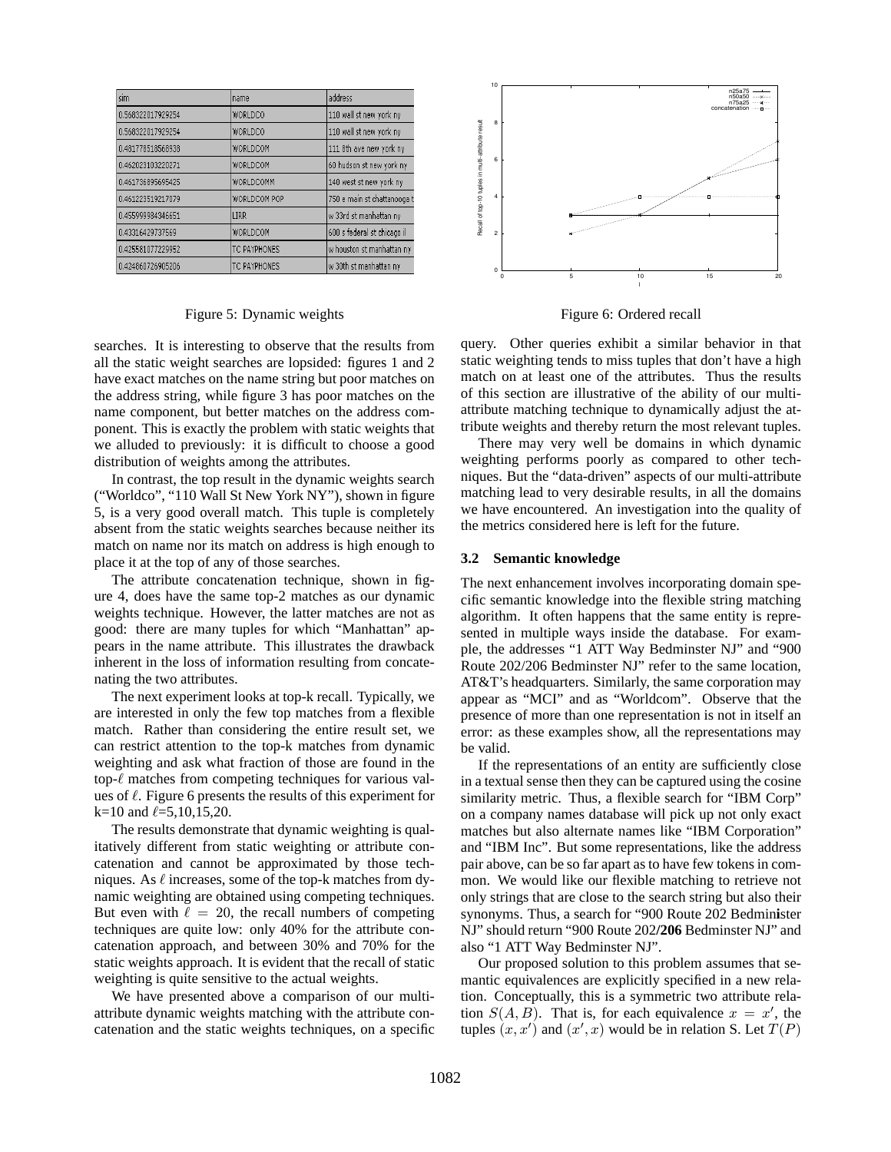| sim               | name         | address                     |
|-------------------|--------------|-----------------------------|
| 0.568322017929254 | WORLDCO      | 110 wall st new york ny     |
| 0.568322017929254 | WORLDCO      | 110 wall st new york ny     |
| 0.481778518568938 | WORLDCOM     | 111 8th ave new york ny     |
| 0.462023103220271 | WORLDCOM     | 60 hudson st new york ny    |
| 0.461736895695425 | WORLDCOMM    | 140 west st new york ny     |
| 0.461223519217079 | WORLDCOM POP | 750 e main st chattanooga t |
| 0.455999984346651 | LIRR         | w 33rd st manhattan ny      |
| 0.43316429737569  | WORLDCOM     | 600 s federal st chicago il |
| 0.425581077229952 | TC PAYPHONES | w houston st manhattan ny   |
| 0.424860726905206 | TC PAYPHONES | w 30th st manhattan ny      |

Figure 5: Dynamic weights

searches. It is interesting to observe that the results from all the static weight searches are lopsided: figures 1 and 2 have exact matches on the name string but poor matches on the address string, while figure 3 has poor matches on the name component, but better matches on the address component. This is exactly the problem with static weights that we alluded to previously: it is difficult to choose a good distribution of weights among the attributes.

In contrast, the top result in the dynamic weights search ("Worldco", "110 Wall St New York NY"), shown in figure 5, is a very good overall match. This tuple is completely absent from the static weights searches because neither its match on name nor its match on address is high enough to place it at the top of any of those searches.

The attribute concatenation technique, shown in figure 4, does have the same top-2 matches as our dynamic weights technique. However, the latter matches are not as good: there are many tuples for which "Manhattan" appears in the name attribute. This illustrates the drawback inherent in the loss of information resulting from concatenating the two attributes.

The next experiment looks at top-k recall. Typically, we are interested in only the few top matches from a flexible match. Rather than considering the entire result set, we can restrict attention to the top-k matches from dynamic weighting and ask what fraction of those are found in the top- $\ell$  matches from competing techniques for various values of  $\ell$ . Figure 6 presents the results of this experiment for  $k=10$  and  $\ell=5,10,15,20$ .

The results demonstrate that dynamic weighting is qualitatively different from static weighting or attribute concatenation and cannot be approximated by those techniques. As  $\ell$  increases, some of the top-k matches from dynamic weighting are obtained using competing techniques. But even with  $\ell = 20$ , the recall numbers of competing techniques are quite low: only 40% for the attribute concatenation approach, and between 30% and 70% for the static weights approach. It is evident that the recall of static weighting is quite sensitive to the actual weights.

We have presented above a comparison of our multiattribute dynamic weights matching with the attribute concatenation and the static weights techniques, on a specific



Figure 6: Ordered recall

query. Other queries exhibit a similar behavior in that static weighting tends to miss tuples that don't have a high match on at least one of the attributes. Thus the results of this section are illustrative of the ability of our multiattribute matching technique to dynamically adjust the attribute weights and thereby return the most relevant tuples.

There may very well be domains in which dynamic weighting performs poorly as compared to other techniques. But the "data-driven" aspects of our multi-attribute matching lead to very desirable results, in all the domains we have encountered. An investigation into the quality of the metrics considered here is left for the future.

#### **3.2 Semantic knowledge**

The next enhancement involves incorporating domain specific semantic knowledge into the flexible string matching algorithm. It often happens that the same entity is represented in multiple ways inside the database. For example, the addresses "1 ATT Way Bedminster NJ" and "900 Route 202/206 Bedminster NJ" refer to the same location, AT&T's headquarters. Similarly, the same corporation may appear as "MCI" and as "Worldcom". Observe that the presence of more than one representation is not in itself an error: as these examples show, all the representations may be valid.

If the representations of an entity are sufficiently close in a textual sense then they can be captured using the cosine similarity metric. Thus, a flexible search for "IBM Corp" on a company names database will pick up not only exact matches but also alternate names like "IBM Corporation" and "IBM Inc". But some representations, like the address pair above, can be so far apart as to have few tokens in common. We would like our flexible matching to retrieve not only strings that are close to the search string but also their synonyms. Thus, a search for "900 Route 202 Bedmin**i**ster NJ" should return "900 Route 202**/206** Bedminster NJ" and also "1 ATT Way Bedminster NJ".

Our proposed solution to this problem assumes that semantic equivalences are explicitly specified in a new relation. Conceptually, this is a symmetric two attribute relation  $S(A, B)$ . That is, for each equivalence  $x = x'$ , the tuples  $(x, x')$  and  $(x', x)$  would be in relation S. Let  $T(P)$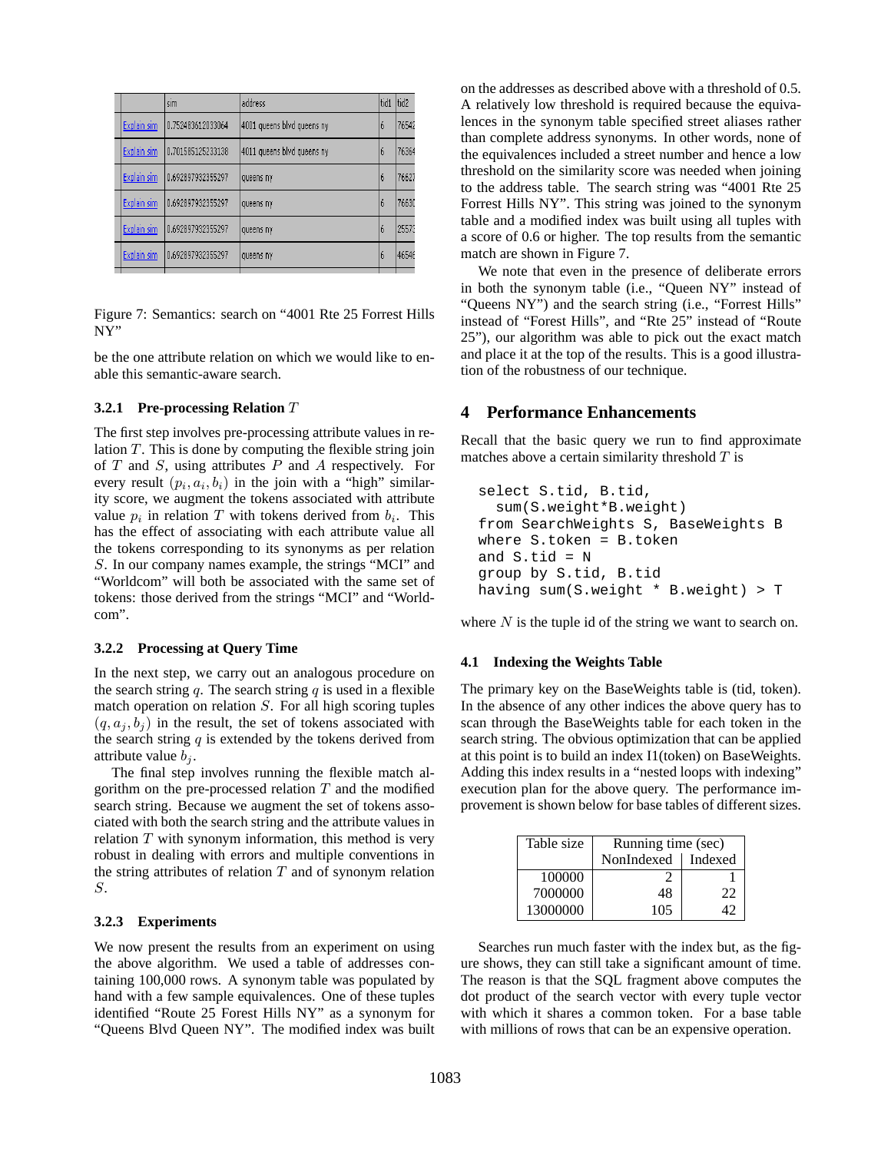| 76542 |
|-------|
|       |
| 76364 |
| 76627 |
| 76630 |
| 25573 |
| 46546 |
|       |

Figure 7: Semantics: search on "4001 Rte 25 Forrest Hills NY"

be the one attribute relation on which we would like to enable this semantic-aware search.

## **3.2.1 Pre-processing Relation** T

The first step involves pre-processing attribute values in relation  $T$ . This is done by computing the flexible string join of  $T$  and  $S$ , using attributes  $P$  and  $A$  respectively. For every result  $(p_i, a_i, b_i)$  in the join with a "high" similarity score, we augment the tokens associated with attribute value  $p_i$  in relation T with tokens derived from  $b_i$ . This has the effect of associating with each attribute value all the tokens corresponding to its synonyms as per relation S. In our company names example, the strings "MCI" and "Worldcom" will both be associated with the same set of tokens: those derived from the strings "MCI" and "Worldcom".

## **3.2.2 Processing at Query Time**

In the next step, we carry out an analogous procedure on the search string q. The search string q is used in a flexible match operation on relation  $S$ . For all high scoring tuples  $(q, a<sub>i</sub>, b<sub>i</sub>)$  in the result, the set of tokens associated with the search string  $q$  is extended by the tokens derived from attribute value  $b_i$ .

The final step involves running the flexible match algorithm on the pre-processed relation  $T$  and the modified search string. Because we augment the set of tokens associated with both the search string and the attribute values in relation  $T$  with synonym information, this method is very robust in dealing with errors and multiple conventions in the string attributes of relation  $T$  and of synonym relation S.

#### **3.2.3 Experiments**

We now present the results from an experiment on using the above algorithm. We used a table of addresses containing 100,000 rows. A synonym table was populated by hand with a few sample equivalences. One of these tuples identified "Route 25 Forest Hills NY" as a synonym for "Queens Blvd Queen NY". The modified index was built on the addresses as described above with a threshold of 0.5. A relatively low threshold is required because the equivalences in the synonym table specified street aliases rather than complete address synonyms. In other words, none of the equivalences included a street number and hence a low threshold on the similarity score was needed when joining to the address table. The search string was "4001 Rte 25 Forrest Hills NY". This string was joined to the synonym table and a modified index was built using all tuples with a score of 0.6 or higher. The top results from the semantic match are shown in Figure 7.

We note that even in the presence of deliberate errors in both the synonym table (i.e., "Queen NY" instead of "Queens NY") and the search string (i.e., "Forrest Hills" instead of "Forest Hills", and "Rte 25" instead of "Route 25"), our algorithm was able to pick out the exact match and place it at the top of the results. This is a good illustration of the robustness of our technique.

## **4 Performance Enhancements**

Recall that the basic query we run to find approximate matches above a certain similarity threshold  $T$  is

select S.tid, B.tid, sum(S.weight\*B.weight) from SearchWeights S, BaseWeights B where S.token = B.token and  $S.tid = N$ group by S.tid, B.tid having sum(S.weight \* B.weight) > T

where  $N$  is the tuple id of the string we want to search on.

#### **4.1 Indexing the Weights Table**

The primary key on the BaseWeights table is (tid, token). In the absence of any other indices the above query has to scan through the BaseWeights table for each token in the search string. The obvious optimization that can be applied at this point is to build an index I1(token) on BaseWeights. Adding this index results in a "nested loops with indexing" execution plan for the above query. The performance improvement is shown below for base tables of different sizes.

| Table size | Running time (sec)   |    |  |
|------------|----------------------|----|--|
|            | NonIndexed   Indexed |    |  |
| 100000     |                      |    |  |
| 7000000    | 48                   | 22 |  |
| 13000000   | 105                  | 17 |  |

Searches run much faster with the index but, as the figure shows, they can still take a significant amount of time. The reason is that the SQL fragment above computes the dot product of the search vector with every tuple vector with which it shares a common token. For a base table with millions of rows that can be an expensive operation.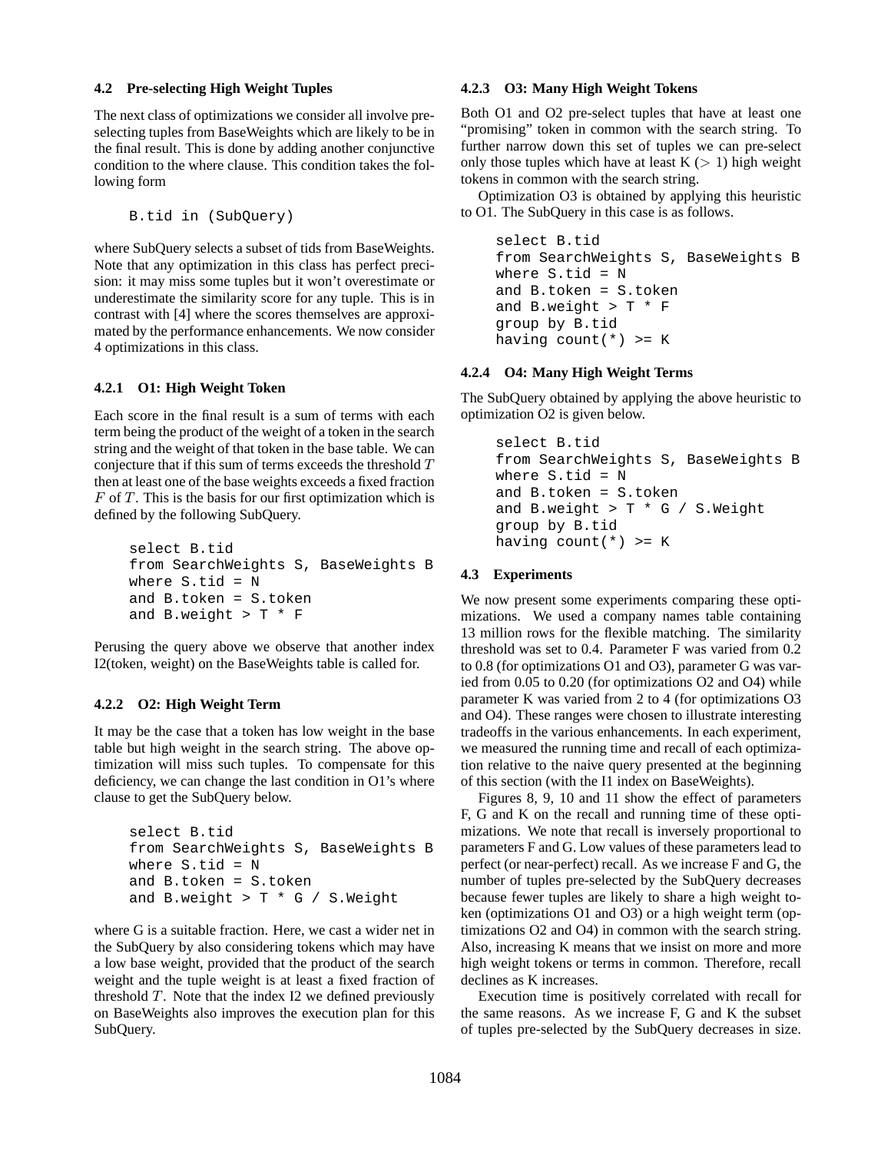### **4.2 Pre-selecting High Weight Tuples**

The next class of optimizations we consider all involve preselecting tuples from BaseWeights which are likely to be in the final result. This is done by adding another conjunctive condition to the where clause. This condition takes the following form

B.tid in (SubQuery)

where SubQuery selects a subset of tids from BaseWeights. Note that any optimization in this class has perfect precision: it may miss some tuples but it won't overestimate or underestimate the similarity score for any tuple. This is in contrast with [4] where the scores themselves are approximated by the performance enhancements. We now consider 4 optimizations in this class.

## **4.2.1 O1: High Weight Token**

Each score in the final result is a sum of terms with each term being the product of the weight of a token in the search string and the weight of that token in the base table. We can conjecture that if this sum of terms exceeds the threshold  $T$ then at least one of the base weights exceeds a fixed fraction  $F$  of  $T$ . This is the basis for our first optimization which is defined by the following SubQuery.

```
select B.tid
from SearchWeights S, BaseWeights B
where S.tid = Nand B.token = S.token
and B.weight > T * F
```
Perusing the query above we observe that another index I2(token, weight) on the BaseWeights table is called for.

## **4.2.2 O2: High Weight Term**

It may be the case that a token has low weight in the base table but high weight in the search string. The above optimization will miss such tuples. To compensate for this deficiency, we can change the last condition in O1's where clause to get the SubQuery below.

```
select B.tid
from SearchWeights S, BaseWeights B
where S.tid = N
and B.token = S.token
and B.weight > T * G / S. Weight
```
where G is a suitable fraction. Here, we cast a wider net in the SubQuery by also considering tokens which may have a low base weight, provided that the product of the search weight and the tuple weight is at least a fixed fraction of threshold  $T$ . Note that the index I2 we defined previously on BaseWeights also improves the execution plan for this SubQuery.

## **4.2.3 O3: Many High Weight Tokens**

Both O1 and O2 pre-select tuples that have at least one "promising" token in common with the search string. To further narrow down this set of tuples we can pre-select only those tuples which have at least  $K$  ( $> 1$ ) high weight tokens in common with the search string.

Optimization O3 is obtained by applying this heuristic to O1. The SubQuery in this case is as follows.

```
select B.tid
from SearchWeights S, BaseWeights B
where S.tid = N
and B.token = S.token
and B.weight > T * Fgroup by B.tid
having count(*) >= K
```
## **4.2.4 O4: Many High Weight Terms**

The SubQuery obtained by applying the above heuristic to optimization O2 is given below.

```
select B.tid
from SearchWeights S, BaseWeights B
where S.tid = N
and B.token = S.token
and B.weight > T * G / S. Weight
group by B.tid
having count(*) >= K
```
## **4.3 Experiments**

We now present some experiments comparing these optimizations. We used a company names table containing 13 million rows for the flexible matching. The similarity threshold was set to 0.4. Parameter F was varied from 0.2 to 0.8 (for optimizations O1 and O3), parameter G was varied from 0.05 to 0.20 (for optimizations O2 and O4) while parameter K was varied from 2 to 4 (for optimizations O3 and O4). These ranges were chosen to illustrate interesting tradeoffs in the various enhancements. In each experiment, we measured the running time and recall of each optimization relative to the naive query presented at the beginning of this section (with the I1 index on BaseWeights).

Figures 8, 9, 10 and 11 show the effect of parameters F, G and K on the recall and running time of these optimizations. We note that recall is inversely proportional to parameters F and G. Low values of these parameters lead to perfect (or near-perfect) recall. As we increase F and G, the number of tuples pre-selected by the SubQuery decreases because fewer tuples are likely to share a high weight token (optimizations O1 and O3) or a high weight term (optimizations O2 and O4) in common with the search string. Also, increasing K means that we insist on more and more high weight tokens or terms in common. Therefore, recall declines as K increases.

Execution time is positively correlated with recall for the same reasons. As we increase F, G and K the subset of tuples pre-selected by the SubQuery decreases in size.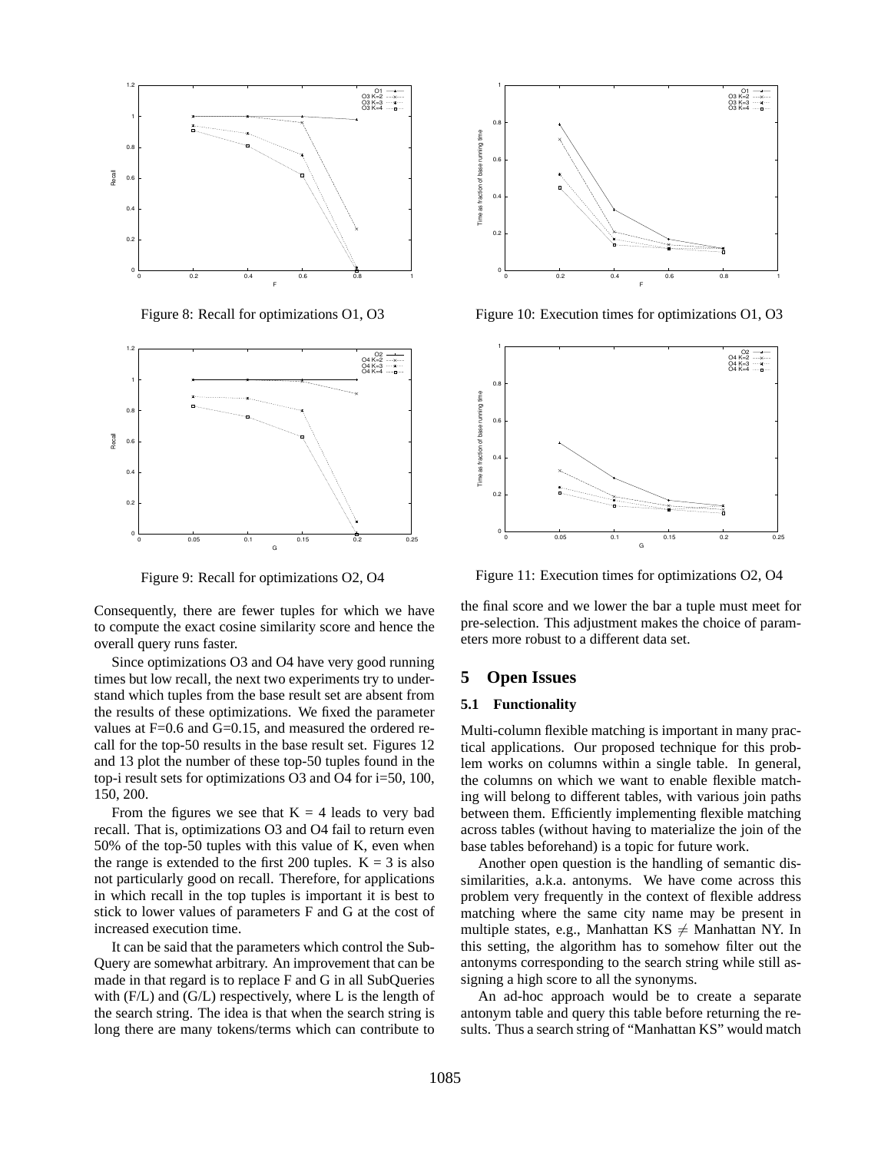

Figure 8: Recall for optimizations O1, O3



Figure 9: Recall for optimizations O2, O4

Consequently, there are fewer tuples for which we have to compute the exact cosine similarity score and hence the overall query runs faster.

Since optimizations O3 and O4 have very good running times but low recall, the next two experiments try to understand which tuples from the base result set are absent from the results of these optimizations. We fixed the parameter values at  $F=0.6$  and  $G=0.15$ , and measured the ordered recall for the top-50 results in the base result set. Figures 12 and 13 plot the number of these top-50 tuples found in the top-i result sets for optimizations O3 and O4 for i=50, 100, 150, 200.

From the figures we see that  $K = 4$  leads to very bad recall. That is, optimizations O3 and O4 fail to return even 50% of the top-50 tuples with this value of K, even when the range is extended to the first 200 tuples.  $K = 3$  is also not particularly good on recall. Therefore, for applications in which recall in the top tuples is important it is best to stick to lower values of parameters F and G at the cost of increased execution time.

It can be said that the parameters which control the Sub-Query are somewhat arbitrary. An improvement that can be made in that regard is to replace F and G in all SubQueries with  $(F/L)$  and  $(G/L)$  respectively, where L is the length of the search string. The idea is that when the search string is long there are many tokens/terms which can contribute to



Figure 10: Execution times for optimizations O1, O3



Figure 11: Execution times for optimizations O2, O4

the final score and we lower the bar a tuple must meet for pre-selection. This adjustment makes the choice of parameters more robust to a different data set.

## **5 Open Issues**

## **5.1 Functionality**

Multi-column flexible matching is important in many practical applications. Our proposed technique for this problem works on columns within a single table. In general, the columns on which we want to enable flexible matching will belong to different tables, with various join paths between them. Efficiently implementing flexible matching across tables (without having to materialize the join of the base tables beforehand) is a topic for future work.

Another open question is the handling of semantic dissimilarities, a.k.a. antonyms. We have come across this problem very frequently in the context of flexible address matching where the same city name may be present in multiple states, e.g., Manhattan KS  $\neq$  Manhattan NY. In this setting, the algorithm has to somehow filter out the antonyms corresponding to the search string while still assigning a high score to all the synonyms.

An ad-hoc approach would be to create a separate antonym table and query this table before returning the results. Thus a search string of "Manhattan KS" would match